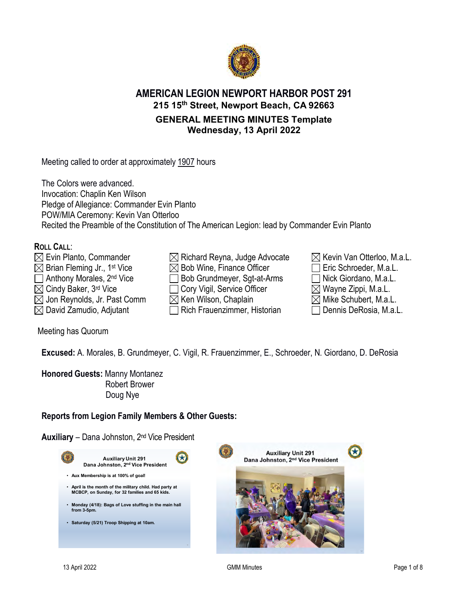

# **AMERICAN LEGION NEWPORT HARBOR POST 291 215 15th Street, Newport Beach, CA 92663 GENERAL MEETING MINUTES Template Wednesday, 13 April 2022**

Meeting called to order at approximately 1907 hours

The Colors were advanced. Invocation: Chaplin Ken Wilson Pledge of Allegiance: Commander Evin Planto POW/MIA Ceremony: Kevin Van Otterloo Recited the Preamble of the Constitution of The American Legion: lead by Commander Evin Planto

## **ROLL CALL**:

- $\boxtimes$  Evin Planto, Commander  $\boxtimes$  Richard Reyna, Judge Advocate  $\boxtimes$  Kevin Van Otterloo, M.a.L.  $\boxtimes$  Brian Fleming Jr., 1st Vice  $\boxtimes$  Bob Wine, Finance Officer  $\Box$  Eric Schroeder, M.a.L. Anthony Morales, 2<sup>nd</sup> Vice **Bob Grundmeyer, Sgt-at-Arms** Nick Giordano, M.a.L.  $\boxtimes$  Cindy Baker, 3<sup>rd</sup> Vice  $\Box$  Cory Vigil, Service Officer  $\boxtimes$  Wayne Zippi, M.a.L.  $\boxtimes$  Jon Reynolds, Jr. Past Comm  $\qquad \boxtimes$  Ken Wilson, Chaplain  $\qquad \qquad \boxtimes$  Mike Schubert, M.a.L.  $\boxtimes$  David Zamudio, Adjutant  $\Box$  Rich Frauenzimmer, Historian  $\Box$  Dennis DeRosia, M.a.L.
- 



Meeting has Quorum

**Excused:** A. Morales, B. Grundmeyer, C. Vigil, R. Frauenzimmer, E., Schroeder, N. Giordano, D. DeRosia

**Honored Guests:** Manny Montanez Robert Brower Doug Nye

## **Reports from Legion Family Members & Other Guests:**

**Auxiliary** – Dana Johnston, 2nd Vice President

| <b>Auxiliary Unit 291</b><br>Dana Johnston, 2nd Vice President                                             |  |
|------------------------------------------------------------------------------------------------------------|--|
| • Aux Membership is at 100% of goal!                                                                       |  |
| • April is the month of the military child. Had party at<br>MCBCP, on Sunday, for 32 families and 65 kids. |  |
| Monday (4/18): Bags of Love stuffing in the main hall<br>$\bullet$<br>from 3-5pm.                          |  |
| Saturday (5/21) Troop Shipping at 10am.<br>$\bullet$                                                       |  |
|                                                                                                            |  |

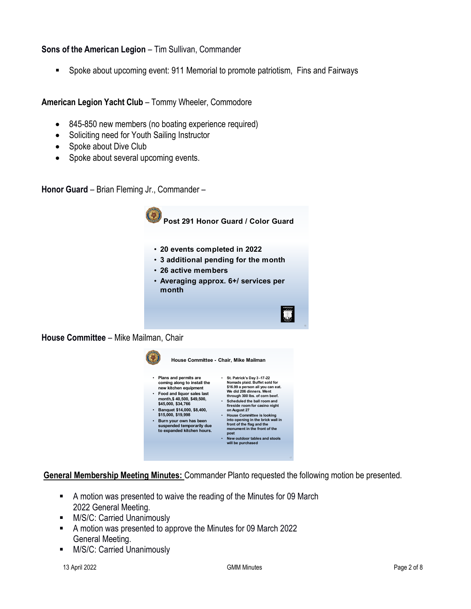#### **Sons of the American Legion** – Tim Sullivan, Commander

Spoke about upcoming event: 911 Memorial to promote patriotism, Fins and Fairways

**American Legion Yacht Club** – Tommy Wheeler, Commodore

- 845-850 new members (no boating experience required)
- Soliciting need for Youth Sailing Instructor
- Spoke about Dive Club
- Spoke about several upcoming events.

**Honor Guard** – Brian Fleming Jr., Commander –



**House Committee** – Mike Mailman, Chair



**General Membership Meeting Minutes:** Commander Planto requested the following motion be presented.

- A motion was presented to waive the reading of the Minutes for 09 March 2022 General Meeting.
- **M/S/C: Carried Unanimously**
- A motion was presented to approve the Minutes for 09 March 2022 General Meeting.
- **M/S/C: Carried Unanimously**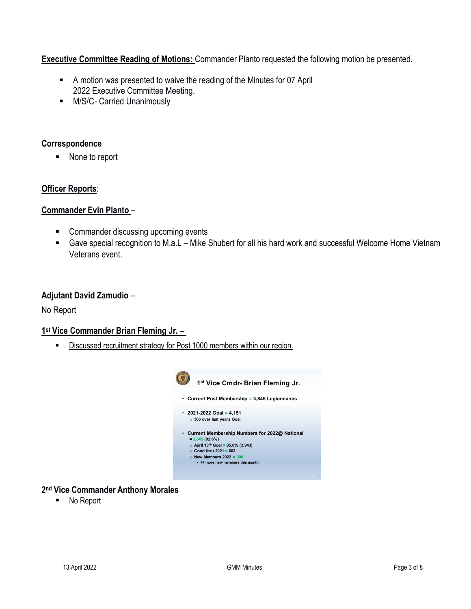## **Executive Committee Reading of Motions:** Commander Planto requested the following motion be presented.

- A motion was presented to waive the reading of the Minutes for 07 April 2022 Executive Committee Meeting.
- **M/S/C- Carried Unanimously**

## **Correspondence**

■ None to report

### **Officer Reports**:

#### **Commander Evin Planto** –

- Commander discussing upcoming events
- Gave special recognition to M.a.L Mike Shubert for all his hard work and successful Welcome Home Vietnam Veterans event.

#### **Adjutant David Zamudio** –

No Report

#### **1st Vice Commander Brian Fleming Jr.** –

**Discussed recruitment strategy for Post 1000 members within our region.** 



#### **2nd Vice Commander Anthony Morales**

■ No Report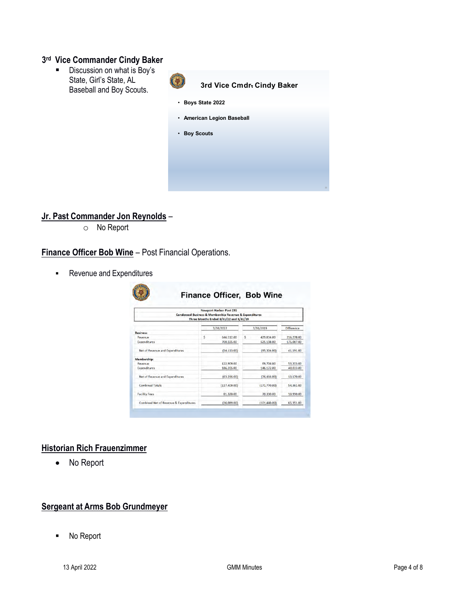#### **3rd Vice Commander Cindy Baker**

Discussion on what is Boy's State, Girl's State, AL Baseball and Boy Scouts.



## **Jr. Past Commander Jon Reynolds** –

o No Report

**Finance Officer Bob Wine** – Post Financial Operations.

**Revenue and Expenditures** 

| <b>Newport Harbor Post 291</b><br>Condensed Business & Membership Revenue & Expenditures<br>Three Months Ended 3/31/22 and 3/31/19 |   |               |   |                |            |  |
|------------------------------------------------------------------------------------------------------------------------------------|---|---------------|---|----------------|------------|--|
|                                                                                                                                    |   | 3/31/2022     |   | 3/31/2019      | Difference |  |
| <b>Business:</b>                                                                                                                   |   |               |   |                |            |  |
| Revenue                                                                                                                            | Ś | 646,112.00    | Ś | 429,834.00     | 216.278.00 |  |
| <b>Expenditures</b>                                                                                                                |   | 700,225.00    |   | 525.138.00     | 175,087.00 |  |
| Net of Revenue and Expenditures                                                                                                    |   | (54, 113, 00) |   | (95, 304, 00)  | 41,191.00  |  |
| Membership:                                                                                                                        |   |               |   |                |            |  |
| Revenue                                                                                                                            |   | 122,909.00    |   | 69,706.00      | 53,203,00  |  |
| <b>Expenditures</b>                                                                                                                |   | 186,205,00    |   | 146,172.00     | 40.033.00  |  |
| Net of Revenue and Expenditures                                                                                                    |   | (63, 296, 00) |   | (76, 466, 00)  | 13,170,00  |  |
| <b>Combined Totals</b>                                                                                                             |   | (117, 409.00) |   | (171, 770, 00) | 54,361.00  |  |
| <b>Facility Fees</b>                                                                                                               |   | 81,320.00     |   | 70,330.00      | 10,990.00  |  |
| Combined Net of Revenue & Expenditures                                                                                             |   | (36,089,00)   |   | (101, 440, 00) | 65,351.00  |  |

#### **Historian Rich Frauenzimmer**

• No Report

## **Sergeant at Arms Bob Grundmeyer**

■ No Report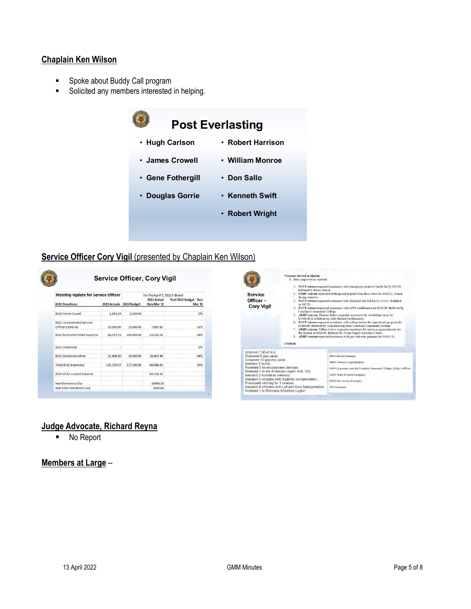#### **Chaplain Ken Wilson**

- **Spoke about Buddy Call program**
- **Solicited any members interested in helping.**

|                   | <b>Post Everlasting</b> |
|-------------------|-------------------------|
| ∙ Hugh Carlson    | • Robert Harrison       |
| • James Crowell   | • William Monroe        |
| • Gene Fothergill | • Don Sallo             |
| • Douglas Gorrie  | • Kenneth Swift         |
|                   | • Robert Wright         |
|                   |                         |

# **Service Officer Cory Vigil** (presented by Chaplain Ken Wilson)

| <b>Monthly Update for Service Officer</b>    |                          | for the April 7, 2022 E-Board |                            |                                        |
|----------------------------------------------|--------------------------|-------------------------------|----------------------------|----------------------------------------|
| <b>6510 Donations</b>                        | 2021 Actuals 2022 Budget |                               | 2022 Actual<br>thru Mar 31 | % of 2022 Budget thru<br><b>Mar 31</b> |
| 6519 Honor Guard                             | 2,842.34                 | 2,500.00                      |                            | 0%                                     |
| 6521 Unrestricted Service<br>Officer Expense | 10,000.00                | 15,000.00                     | 7,687.81                   | 51%                                    |
| 6522 Restricted VEAF expense                 | 84,573.73                | 100,000.00                    | 23.553.56                  | 24%                                    |
| 6515 Oratorical                              |                          |                               |                            | 0%                                     |
| 6510 Donations other                         | 21,804.50                | 20,000.00                     | 16,807,46                  | 84%                                    |
| Total 6510 expenses                          | 119.220.57               | 137,500.00                    | 48.048.83                  | 35%                                    |
| 4520 VEAF current balance                    |                          |                               | 92,159.14                  |                                        |
| Mar Donations Out                            |                          |                               | 10968.26                   |                                        |
| Mar VEAF Donations Out                       |                          |                               | 7649.06                    |                                        |



## **Judge Advocate, Richard Reyna**

■ No Report

#### **Members at Large** –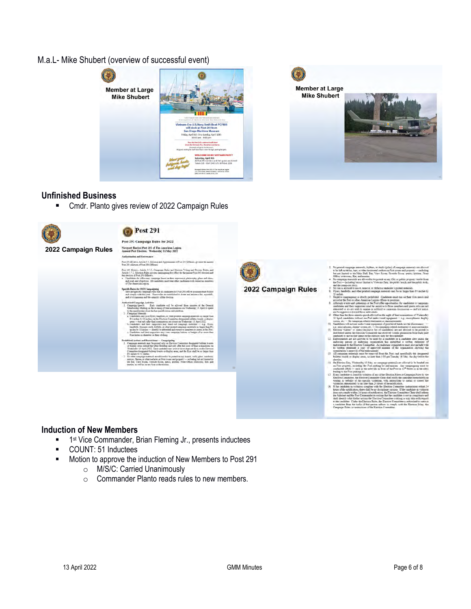M.a.L- Mike Shubert (overview of successful event)





#### **Unfinished Business**

■ Cmdr. Planto gives review of 2022 Campaign Rules



#### **Induction of New Members**

- **1st Vice Commander, Brian Fleming Jr., presents inductees**
- **COUNT: 51 Inductees**
- **Motion to approve the induction of New Members to Post 291** 
	- o M/S/C: Carried Unanimously
	- o Commander Planto reads rules to new members.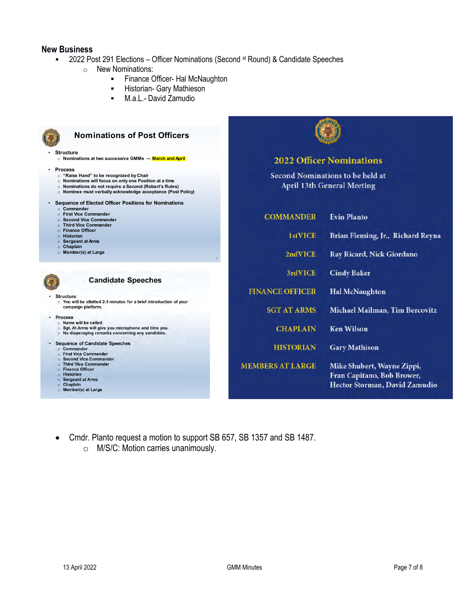#### **New Business**

■ 2022 Post 291 Elections – Officer Nominations (Second <sup>st</sup> Round) & Candidate Speeches

66

- o New Nominations:
	- **Finance Officer- Hal McNaughton**
	- **-** Historian- Gary Mathieson
	- M.a.L.- David Zamudio



## **Nominations of Post Officers**

• **Structure**  o **Nominations at two successive GMMs — March and April**

- **Process**
	- o **"Raise Hand" to be recognized by Chair** o **Nominations will focus on only one Position at a time**
	- o **Nominations do not require a Second (Robert's Rules)**
	- o **Nominee must verbally acknowledge acceptance (Post Policy)**
- **Sequence of Elected Officer Positions for Nominations**
	-
	- o **Commander** o **First Vice Commander**
	- o **Second Vice Commander** o **Third Vice Commander**
	-
	- o **Finance Officer** o **Historian**
	- o **Sergeant at Arms**
	-
	- o **Chaplain** o **Member(s) at Large**



#### **Candidate Speeches**

· Structure

○ You will be allotted 2-3 minutes for a brief introduction of your campaign platform.

#### • Process

- 
- O Name will be called.<br>○ Sgt. At Arms will give you microphone and time you.<br>○ No disparaging remarks concerning any candidate.

#### · Sequence of Candidate Speeches

- Commander<br>First Vice Commander
- 
- Second Vice Commander<br>○ Third Vice Commander
- ⊙ Finance Officer<br>⊙ Historian
- 
- ⊙ Sergeant at Arms<br>○ Chaplain
- Member(s) at Large

| <b>2022 Officer Nominations</b>                                                           |
|-------------------------------------------------------------------------------------------|
| Second Nominations to be held at<br><b>April 13th General Meeting</b>                     |
| <b>Evin Planto</b>                                                                        |
| Brian Fleming, Jr., Richard Reyna                                                         |
| Ray Ricard, Nick Giordano                                                                 |
| <b>Cindy Baker</b>                                                                        |
| <b>Hal McNaughton</b>                                                                     |
| <b>Michael Mailman, Tim Bercovitz</b>                                                     |
| <b>Ken Wilson</b>                                                                         |
| <b>Gary Mathison</b>                                                                      |
| Mike Shubert, Wayne Zippi,<br>Fran Capitano, Bob Brower,<br>Hector Storman, David Zamudio |
|                                                                                           |

**ANNA MARK** 

- Cmdr. Planto request a motion to support SB 657, SB 1357 and SB 1487.
	- o M/S/C: Motion carries unanimously.